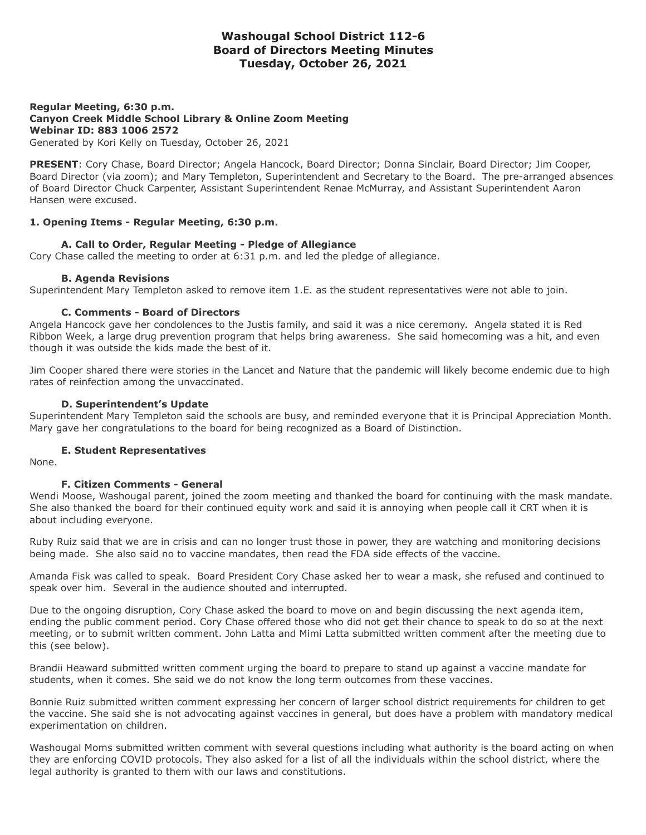# **Washougal School District 112-6 Board of Directors Meeting Minutes Tuesday, October 26, 2021**

**Regular Meeting, 6:30 p.m. Canyon Creek Middle School Library & Online Zoom Meeting Webinar ID: 883 1006 2572** Generated by Kori Kelly on Tuesday, October 26, 2021

**PRESENT**: Cory Chase, Board Director; Angela Hancock, Board Director; Donna Sinclair, Board Director; Jim Cooper, Board Director (via zoom); and Mary Templeton, Superintendent and Secretary to the Board. The pre-arranged absences of Board Director Chuck Carpenter, Assistant Superintendent Renae McMurray, and Assistant Superintendent Aaron Hansen were excused.

#### **1. Opening Items - Regular Meeting, 6:30 p.m.**

#### **A. Call to Order, Regular Meeting - Pledge of Allegiance**

Cory Chase called the meeting to order at 6:31 p.m. and led the pledge of allegiance.

### **B. Agenda Revisions**

Superintendent Mary Templeton asked to remove item 1.E. as the student representatives were not able to join.

#### **C. Comments - Board of Directors**

Angela Hancock gave her condolences to the Justis family, and said it was a nice ceremony. Angela stated it is Red Ribbon Week, a large drug prevention program that helps bring awareness. She said homecoming was a hit, and even though it was outside the kids made the best of it.

Jim Cooper shared there were stories in the Lancet and Nature that the pandemic will likely become endemic due to high rates of reinfection among the unvaccinated.

#### **D. Superintendent's Update**

Superintendent Mary Templeton said the schools are busy, and reminded everyone that it is Principal Appreciation Month. Mary gave her congratulations to the board for being recognized as a Board of Distinction.

#### **E. Student Representatives**

None.

### **F. Citizen Comments - General**

Wendi Moose, Washougal parent, joined the zoom meeting and thanked the board for continuing with the mask mandate. She also thanked the board for their continued equity work and said it is annoying when people call it CRT when it is about including everyone.

Ruby Ruiz said that we are in crisis and can no longer trust those in power, they are watching and monitoring decisions being made. She also said no to vaccine mandates, then read the FDA side effects of the vaccine.

Amanda Fisk was called to speak. Board President Cory Chase asked her to wear a mask, she refused and continued to speak over him. Several in the audience shouted and interrupted.

Due to the ongoing disruption, Cory Chase asked the board to move on and begin discussing the next agenda item, ending the public comment period. Cory Chase offered those who did not get their chance to speak to do so at the next meeting, or to submit written comment. John Latta and Mimi Latta submitted written comment after the meeting due to this (see below).

Brandii Heaward submitted written comment urging the board to prepare to stand up against a vaccine mandate for students, when it comes. She said we do not know the long term outcomes from these vaccines.

Bonnie Ruiz submitted written comment expressing her concern of larger school district requirements for children to get the vaccine. She said she is not advocating against vaccines in general, but does have a problem with mandatory medical experimentation on children.

Washougal Moms submitted written comment with several questions including what authority is the board acting on when they are enforcing COVID protocols. They also asked for a list of all the individuals within the school district, where the legal authority is granted to them with our laws and constitutions.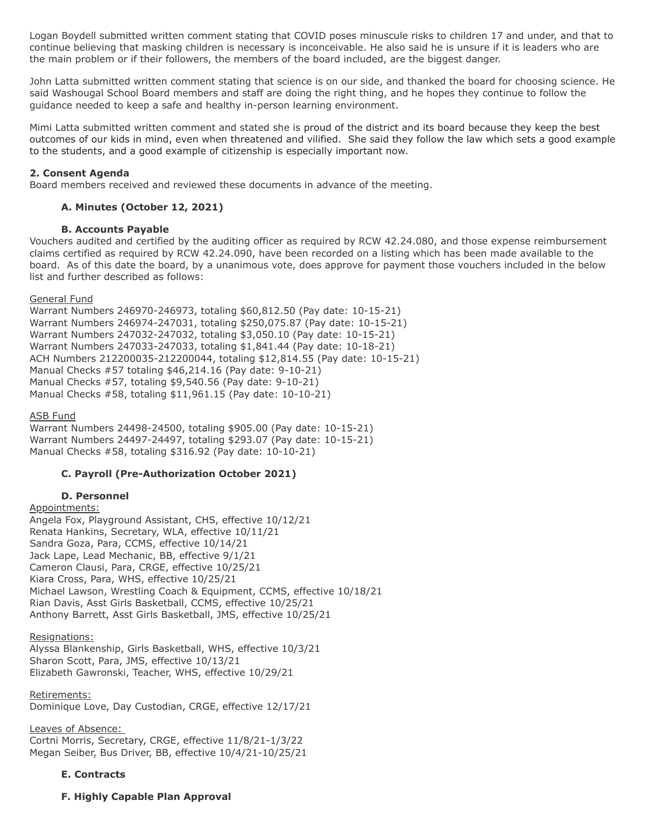Logan Boydell submitted written comment stating that COVID poses minuscule risks to children 17 and under, and that to continue believing that masking children is necessary is inconceivable. He also said he is unsure if it is leaders who are the main problem or if their followers, the members of the board included, are the biggest danger.

John Latta submitted written comment stating that science is on our side, and thanked the board for choosing science. He said Washougal School Board members and staff are doing the right thing, and he hopes they continue to follow the guidance needed to keep a safe and healthy in-person learning environment.

Mimi Latta submitted written comment and stated she is proud of the district and its board because they keep the best outcomes of our kids in mind, even when threatened and vilified. She said they follow the law which sets a good example to the students, and a good example of citizenship is especially important now.

### **2. Consent Agenda**

Board members received and reviewed these documents in advance of the meeting.

## **A. Minutes (October 12, 2021)**

## **B. Accounts Payable**

Vouchers audited and certified by the auditing officer as required by RCW 42.24.080, and those expense reimbursement claims certified as required by RCW 42.24.090, have been recorded on a listing which has been made available to the board. As of this date the board, by a unanimous vote, does approve for payment those vouchers included in the below list and further described as follows:

### General Fund

Warrant Numbers 246970-246973, totaling \$60,812.50 (Pay date: 10-15-21) Warrant Numbers 246974-247031, totaling \$250,075.87 (Pay date: 10-15-21) Warrant Numbers 247032-247032, totaling \$3,050.10 (Pay date: 10-15-21) Warrant Numbers 247033-247033, totaling \$1,841.44 (Pay date: 10-18-21) ACH Numbers 212200035-212200044, totaling \$12,814.55 (Pay date: 10-15-21) Manual Checks #57 totaling \$46,214.16 (Pay date: 9-10-21) Manual Checks #57, totaling \$9,540.56 (Pay date: 9-10-21) Manual Checks #58, totaling \$11,961.15 (Pay date: 10-10-21)

### ASB Fund

Warrant Numbers 24498-24500, totaling \$905.00 (Pay date: 10-15-21) Warrant Numbers 24497-24497, totaling \$293.07 (Pay date: 10-15-21) Manual Checks #58, totaling \$316.92 (Pay date: 10-10-21)

### **C. Payroll (Pre-Authorization October 2021)**

### **D. Personnel**

### Appointments:

Angela Fox, Playground Assistant, CHS, effective 10/12/21 Renata Hankins, Secretary, WLA, effective 10/11/21 Sandra Goza, Para, CCMS, effective 10/14/21 Jack Lape, Lead Mechanic, BB, effective 9/1/21 Cameron Clausi, Para, CRGE, effective 10/25/21 Kiara Cross, Para, WHS, effective 10/25/21 Michael Lawson, Wrestling Coach & Equipment, CCMS, effective 10/18/21 Rian Davis, Asst Girls Basketball, CCMS, effective 10/25/21 Anthony Barrett, Asst Girls Basketball, JMS, effective 10/25/21

### Resignations:

Alyssa Blankenship, Girls Basketball, WHS, effective 10/3/21 Sharon Scott, Para, JMS, effective 10/13/21 Elizabeth Gawronski, Teacher, WHS, effective 10/29/21

### Retirements:

Dominique Love, Day Custodian, CRGE, effective 12/17/21

### Leaves of Absence:

Cortni Morris, Secretary, CRGE, effective 11/8/21-1/3/22 Megan Seiber, Bus Driver, BB, effective 10/4/21-10/25/21

### **E. Contracts**

## **F. Highly Capable Plan Approval**